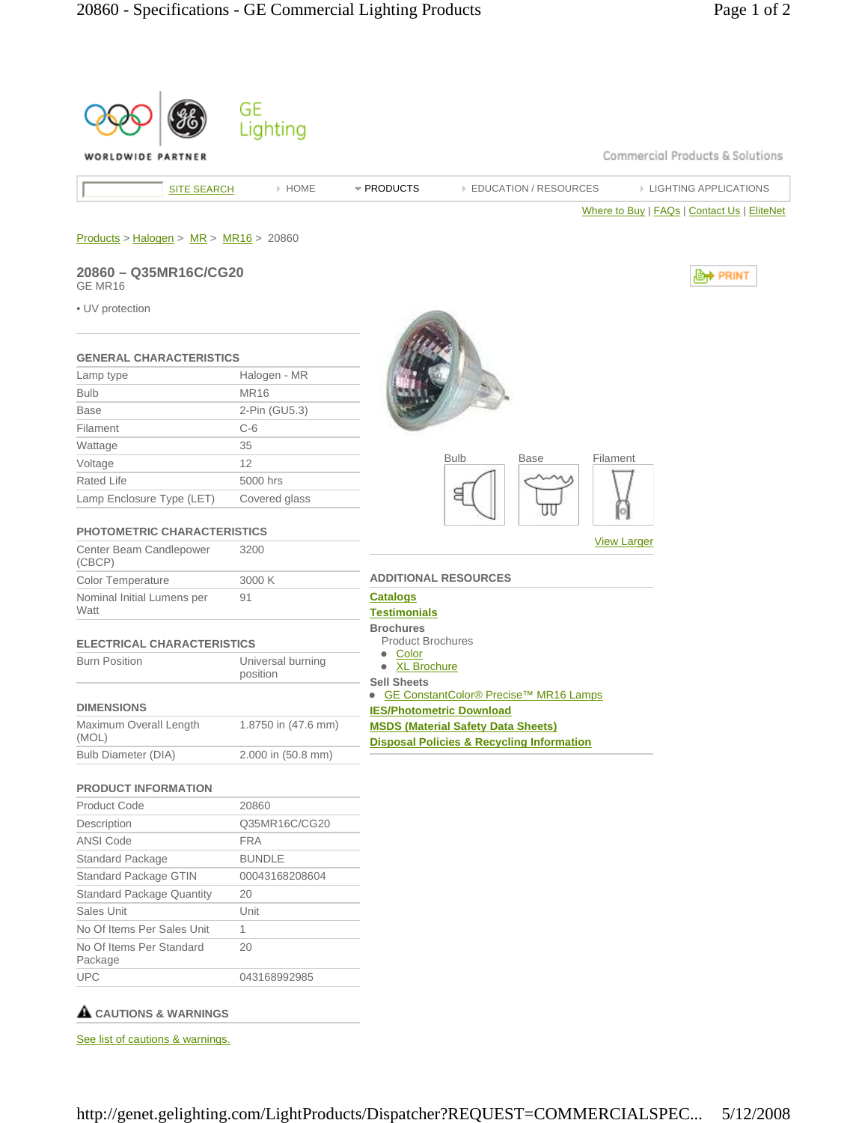

## **CAUTIONS & WARNINGS**

See list of cautions & warnings.